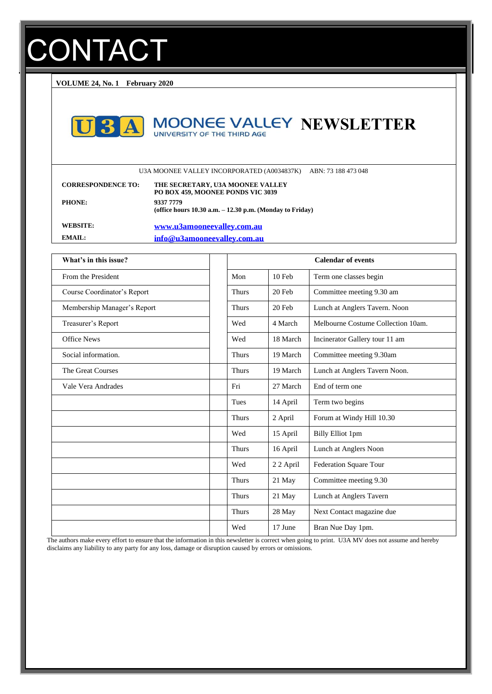# **CONTACT**

**VOLUME 24, No. 1 February 2020**



# **MOONEE VALLEY NEWSLETTER**

U3A MOONEE VALLEY INCORPORATED (A0034837K) ABN: 73 188 473 048

| <b>CORRESPONDENCE TO:</b> | THE SECRETARY, U3A MOONEE VALLEY<br>PO BOX 459, MOONEE PONDS VIC 3039     |
|---------------------------|---------------------------------------------------------------------------|
| <b>PHONE:</b>             | 9337 7779<br>(office hours $10.30$ a.m. $- 12.30$ p.m. (Monday to Friday) |
| WEBSITE:                  | www.u3amooneevalley.com.au                                                |
| EMAIL:                    | info@u3amooneeyalley.com.au                                               |

| What's in this issue?       |              | <b>Calendar of events</b> |                                    |  |
|-----------------------------|--------------|---------------------------|------------------------------------|--|
| From the President          | Mon          | 10 Feb                    | Term one classes begin             |  |
| Course Coordinator's Report | <b>Thurs</b> | 20 Feb                    | Committee meeting 9.30 am          |  |
| Membership Manager's Report | <b>Thurs</b> | 20 Feb                    | Lunch at Anglers Tavern. Noon      |  |
| Treasurer's Report          | Wed          | 4 March                   | Melbourne Costume Collection 10am. |  |
| <b>Office News</b>          | Wed          | 18 March                  | Incinerator Gallery tour 11 am     |  |
| Social information.         | <b>Thurs</b> | 19 March                  | Committee meeting 9.30am           |  |
| The Great Courses           | <b>Thurs</b> | 19 March                  | Lunch at Anglers Tavern Noon.      |  |
| Vale Vera Andrades          | Fri          | 27 March                  | End of term one                    |  |
|                             | Tues         | 14 April                  | Term two begins                    |  |
|                             | <b>Thurs</b> | 2 April                   | Forum at Windy Hill 10.30          |  |
|                             | Wed          | 15 April                  | <b>Billy Elliot 1pm</b>            |  |
|                             | <b>Thurs</b> | 16 April                  | Lunch at Anglers Noon              |  |
|                             | Wed          | 22 April                  | Federation Square Tour             |  |
|                             | <b>Thurs</b> | 21 May                    | Committee meeting 9.30             |  |
|                             | <b>Thurs</b> | 21 May                    | Lunch at Anglers Tavern            |  |
|                             | <b>Thurs</b> | 28 May                    | Next Contact magazine due          |  |
|                             | Wed          | 17 June                   | Bran Nue Day 1pm.                  |  |

The authors make every effort to ensure that the information in this newsletter is correct when going to print. U3A MV does not assume and hereby disclaims any liability to any party for any loss, damage or disruption caused by errors or omissions.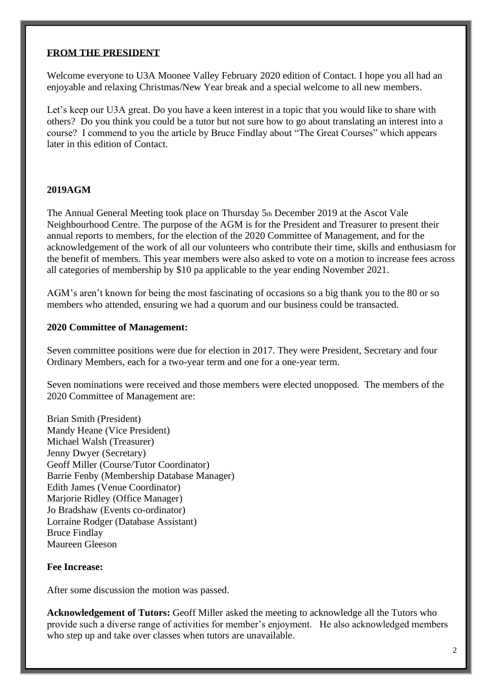#### **FROM THE PRESIDENT**

Welcome everyone to U3A Moonee Valley February 2020 edition of Contact. I hope you all had an enjoyable and relaxing Christmas/New Year break and a special welcome to all new members.

Let's keep our U3A great. Do you have a keen interest in a topic that you would like to share with others? Do you think you could be a tutor but not sure how to go about translating an interest into a course? I commend to you the article by Bruce Findlay about "The Great Courses" which appears later in this edition of Contact.

#### **2019AGM**

The Annual General Meeting took place on Thursday 5th December 2019 at the Ascot Vale Neighbourhood Centre. The purpose of the AGM is for the President and Treasurer to present their annual reports to members, for the election of the 2020 Committee of Management, and for the acknowledgement of the work of all our volunteers who contribute their time, skills and enthusiasm for the benefit of members. This year members were also asked to vote on a motion to increase fees across all categories of membership by \$10 pa applicable to the year ending November 2021.

AGM's aren't known for being the most fascinating of occasions so a big thank you to the 80 or so members who attended, ensuring we had a quorum and our business could be transacted.

#### **2020 Committee of Management:**

Seven committee positions were due for election in 2017. They were President, Secretary and four Ordinary Members, each for a two-year term and one for a one-year term.

Seven nominations were received and those members were elected unopposed. The members of the 2020 Committee of Management are:

Brian Smith (President) Mandy Heane (Vice President) Michael Walsh (Treasurer) Jenny Dwyer (Secretary) Geoff Miller (Course/Tutor Coordinator) Barrie Fenby (Membership Database Manager) Edith James (Venue Coordinator) Marjorie Ridley (Office Manager) Jo Bradshaw (Events co-ordinator) Lorraine Rodger (Database Assistant) Bruce Findlay Maureen Gleeson

#### **Fee Increase:**

After some discussion the motion was passed.

**Acknowledgement of Tutors:** Geoff Miller asked the meeting to acknowledge all the Tutors who provide such a diverse range of activities for member's enjoyment. He also acknowledged members who step up and take over classes when tutors are unavailable.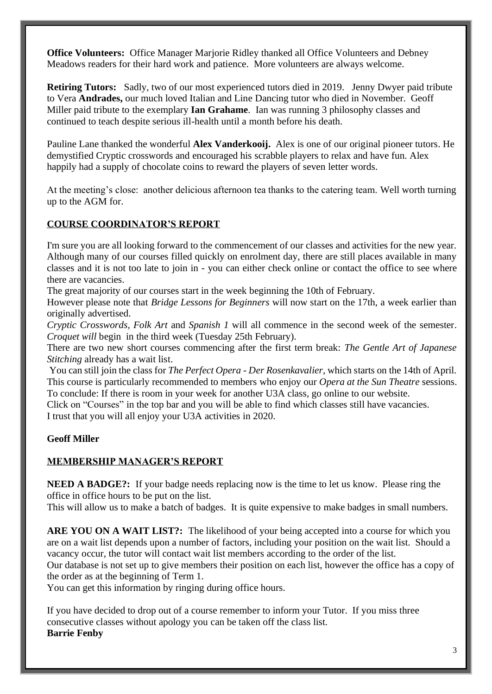**Office Volunteers:** Office Manager Marjorie Ridley thanked all Office Volunteers and Debney Meadows readers for their hard work and patience. More volunteers are always welcome.

**Retiring Tutors:** Sadly, two of our most experienced tutors died in 2019. Jenny Dwyer paid tribute to Vera **Andrades,** our much loved Italian and Line Dancing tutor who died in November. Geoff Miller paid tribute to the exemplary **Ian Grahame**. Ian was running 3 philosophy classes and continued to teach despite serious ill-health until a month before his death.

Pauline Lane thanked the wonderful **Alex Vanderkooij.** Alex is one of our original pioneer tutors. He demystified Cryptic crosswords and encouraged his scrabble players to relax and have fun. Alex happily had a supply of chocolate coins to reward the players of seven letter words.

At the meeting's close: another delicious afternoon tea thanks to the catering team. Well worth turning up to the AGM for.

#### **COURSE COORDINATOR'S REPORT**

I'm sure you are all looking forward to the commencement of our classes and activities for the new year. Although many of our courses filled quickly on enrolment day, there are still places available in many classes and it is not too late to join in - you can either check online or contact the office to see where there are vacancies.

The great majority of our courses start in the week beginning the 10th of February.

However please note that *Bridge Lessons for Beginners* will now start on the 17th, a week earlier than originally advertised.

*Cryptic Crosswords, Folk Art* and *Spanish 1* will all commence in the second week of the semester. *Croquet will* begin in the third week (Tuesday 25th February).

There are two new short courses commencing after the first term break: *The Gentle Art of Japanese Stitching* already has a wait list.

You can still join the class for *The Perfect Opera - Der Rosenkavalier,* which starts on the 14th of April. This course is particularly recommended to members who enjoy our *Opera at the Sun Theatre* sessions. To conclude: If there is room in your week for another U3A class, go online to our website.

Click on "Courses" in the top bar and you will be able to find which classes still have vacancies. I trust that you will all enjoy your U3A activities in 2020.

#### **Geoff Miller**

#### **MEMBERSHIP MANAGER'S REPORT**

**NEED A BADGE?:** If your badge needs replacing now is the time to let us know. Please ring the office in office hours to be put on the list.

This will allow us to make a batch of badges. It is quite expensive to make badges in small numbers.

ARE YOU ON A WAIT LIST?: The likelihood of your being accepted into a course for which you are on a wait list depends upon a number of factors, including your position on the wait list. Should a vacancy occur, the tutor will contact wait list members according to the order of the list.

Our database is not set up to give members their position on each list, however the office has a copy of the order as at the beginning of Term 1.

You can get this information by ringing during office hours.

If you have decided to drop out of a course remember to inform your Tutor. If you miss three consecutive classes without apology you can be taken off the class list. **Barrie Fenby**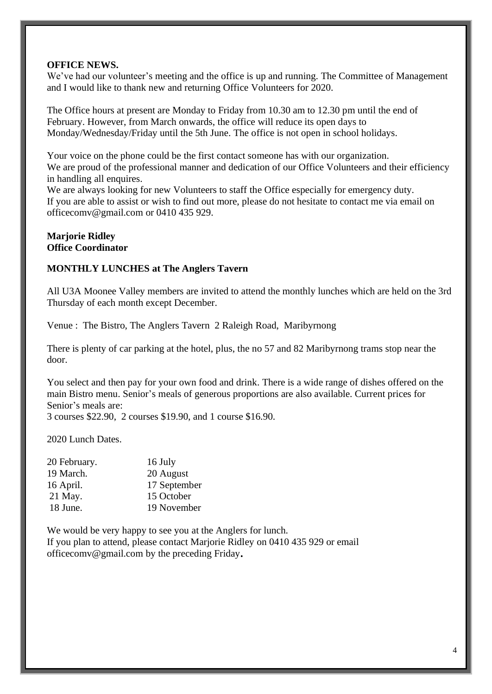#### **OFFICE NEWS.**

We've had our volunteer's meeting and the office is up and running. The Committee of Management and I would like to thank new and returning Office Volunteers for 2020.

The Office hours at present are Monday to Friday from 10.30 am to 12.30 pm until the end of February. However, from March onwards, the office will reduce its open days to Monday/Wednesday/Friday until the 5th June. The office is not open in school holidays.

Your voice on the phone could be the first contact someone has with our organization. We are proud of the professional manner and dedication of our Office Volunteers and their efficiency in handling all enquires.

We are always looking for new Volunteers to staff the Office especially for emergency duty. If you are able to assist or wish to find out more, please do not hesitate to contact me via email on [officecomv@gmail.com](mailto:officecomv@gmail.com) or 0410 435 929.

#### **Marjorie Ridley Office Coordinator**

#### **MONTHLY LUNCHES at The Anglers Tavern**

All U3A Moonee Valley members are invited to attend the monthly lunches which are held on the 3rd Thursday of each month except December.

Venue : The Bistro, The Anglers Tavern 2 Raleigh Road, Maribyrnong

There is plenty of car parking at the hotel, plus, the no 57 and 82 Maribyrnong trams stop near the door.

You select and then pay for your own food and drink. There is a wide range of dishes offered on the main Bistro menu. Senior's meals of generous proportions are also available. Current prices for Senior's meals are: 3 courses \$22.90, 2 courses \$19.90, and 1 course \$16.90.

2020 Lunch Dates.

| 20 February. | 16 July      |
|--------------|--------------|
| 19 March.    | 20 August    |
| 16 April.    | 17 September |
| 21 May.      | 15 October   |
| 18 June.     | 19 November  |

We would be very happy to see you at the Anglers for lunch. If you plan to attend, please contact Marjorie Ridley on 0410 435 929 or email [officecomv@gmail.com](mailto:officecomv@gmail.com) by the preceding Friday**.**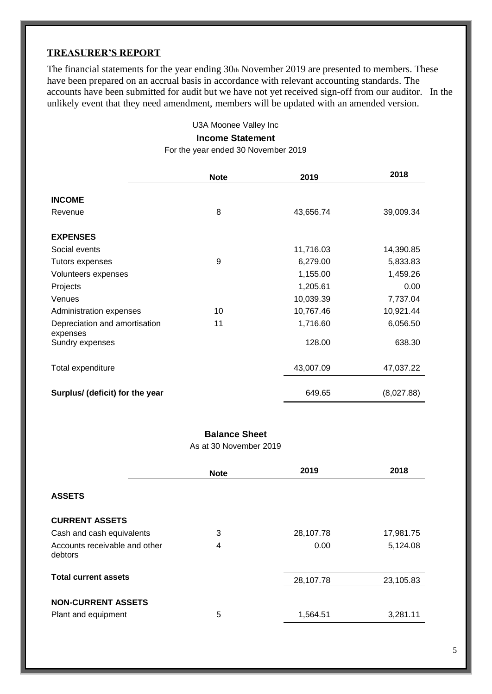#### **TREASURER'S REPORT**

The financial statements for the year ending 30th November 2019 are presented to members. These have been prepared on an accrual basis in accordance with relevant accounting standards. The accounts have been submitted for audit but we have not yet received sign-off from our auditor. In the unlikely event that they need amendment, members will be updated with an amended version.

U3A Moonee Valley Inc

#### **Income Statement**

For the year ended 30 November 2019

|                                           | <b>Note</b> | 2019      | 2018       |
|-------------------------------------------|-------------|-----------|------------|
| <b>INCOME</b><br>Revenue                  | 8           | 43,656.74 | 39,009.34  |
| <b>EXPENSES</b>                           |             |           |            |
| Social events                             |             | 11,716.03 | 14,390.85  |
| Tutors expenses                           | 9           | 6,279.00  | 5,833.83   |
| Volunteers expenses                       |             | 1,155.00  | 1,459.26   |
| Projects                                  |             | 1,205.61  | 0.00       |
| Venues                                    |             | 10,039.39 | 7,737.04   |
| Administration expenses                   | 10          | 10,767.46 | 10,921.44  |
| Depreciation and amortisation<br>expenses | 11          | 1,716.60  | 6,056.50   |
| Sundry expenses                           |             | 128.00    | 638.30     |
| Total expenditure                         |             | 43,007.09 | 47,037.22  |
| Surplus/ (deficit) for the year           |             | 649.65    | (8,027.88) |

#### **Balance Sheet**

As at 30 November 2019

|                                                  | <b>Note</b>    | 2019      | 2018      |
|--------------------------------------------------|----------------|-----------|-----------|
| <b>ASSETS</b>                                    |                |           |           |
| <b>CURRENT ASSETS</b>                            |                |           |           |
| Cash and cash equivalents                        | 3              | 28,107.78 | 17,981.75 |
| Accounts receivable and other<br>debtors         | $\overline{4}$ | 0.00      | 5,124.08  |
|                                                  |                |           |           |
| <b>Total current assets</b>                      |                | 28,107.78 | 23,105.83 |
| <b>NON-CURRENT ASSETS</b><br>Plant and equipment | 5              | 1,564.51  | 3,281.11  |
|                                                  |                |           |           |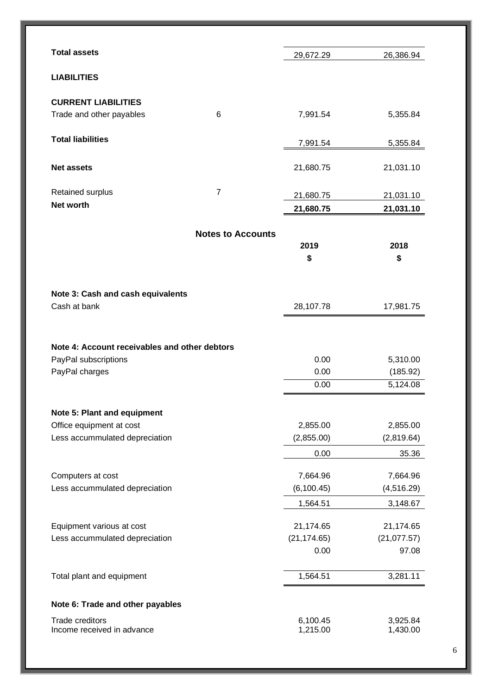| <b>Total assets</b>                                    |                          | 29,672.29              | 26,386.94              |
|--------------------------------------------------------|--------------------------|------------------------|------------------------|
| <b>LIABILITIES</b>                                     |                          |                        |                        |
| <b>CURRENT LIABILITIES</b><br>Trade and other payables | 6                        | 7,991.54               | 5,355.84               |
| <b>Total liabilities</b>                               |                          | 7,991.54               | 5,355.84               |
| <b>Net assets</b>                                      |                          | 21,680.75              | 21,031.10              |
| Retained surplus<br>Net worth                          | $\overline{7}$           | 21,680.75<br>21,680.75 | 21,031.10<br>21,031.10 |
|                                                        |                          |                        |                        |
|                                                        | <b>Notes to Accounts</b> | 2019<br>\$             | 2018<br>\$             |
| Note 3: Cash and cash equivalents<br>Cash at bank      |                          | 28,107.78              | 17,981.75              |
|                                                        |                          |                        |                        |
| Note 4: Account receivables and other debtors          |                          |                        |                        |
| PayPal subscriptions                                   |                          | 0.00                   | 5,310.00               |
| PayPal charges                                         |                          | 0.00<br>0.00           | (185.92)<br>5,124.08   |
| Note 5: Plant and equipment                            |                          |                        |                        |
| Office equipment at cost                               |                          | 2,855.00               | 2,855.00               |
| Less accummulated depreciation                         |                          | (2,855.00)             | (2,819.64)             |
|                                                        |                          | 0.00                   | 35.36                  |
| Computers at cost                                      |                          | 7,664.96               | 7,664.96               |
| Less accummulated depreciation                         |                          | (6, 100.45)            | (4, 516.29)            |
|                                                        |                          | 1,564.51               | 3,148.67               |
| Equipment various at cost                              |                          | 21,174.65              | 21,174.65              |
| Less accummulated depreciation                         |                          | (21, 174.65)           | (21,077.57)            |
|                                                        |                          | 0.00                   | 97.08                  |
| Total plant and equipment                              |                          | 1,564.51               | 3,281.11               |
| Note 6: Trade and other payables                       |                          |                        |                        |
| <b>Trade creditors</b>                                 |                          | 6,100.45               | 3,925.84               |
| Income received in advance                             |                          | 1,215.00               | 1,430.00               |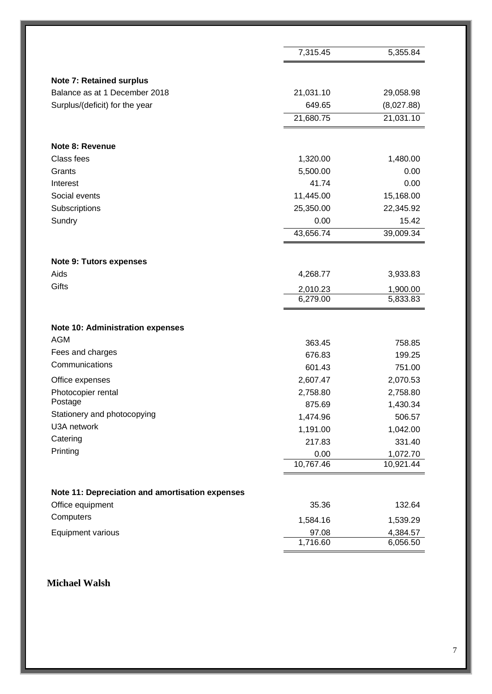|                                                 | 7,315.45             | 5,355.84             |
|-------------------------------------------------|----------------------|----------------------|
| <b>Note 7: Retained surplus</b>                 |                      |                      |
| Balance as at 1 December 2018                   | 21,031.10            | 29,058.98            |
| Surplus/(deficit) for the year                  | 649.65               | (8,027.88)           |
|                                                 | 21,680.75            | 21,031.10            |
|                                                 |                      |                      |
| Note 8: Revenue                                 |                      |                      |
| Class fees                                      | 1,320.00             | 1,480.00             |
| Grants                                          | 5,500.00             | 0.00                 |
| Interest                                        | 41.74                | 0.00                 |
| Social events                                   | 11,445.00            | 15,168.00            |
| Subscriptions                                   | 25,350.00            | 22,345.92            |
| Sundry                                          | 0.00                 | 15.42                |
|                                                 | 43,656.74            | 39,009.34            |
| <b>Note 9: Tutors expenses</b>                  |                      |                      |
| Aids                                            | 4,268.77             | 3,933.83             |
| Gifts                                           |                      |                      |
|                                                 | 2,010.23<br>6,279.00 | 1,900.00<br>5,833.83 |
|                                                 |                      |                      |
| <b>Note 10: Administration expenses</b>         |                      |                      |
| <b>AGM</b>                                      | 363.45               | 758.85               |
| Fees and charges                                | 676.83               | 199.25               |
| Communications                                  | 601.43               | 751.00               |
| Office expenses                                 | 2,607.47             | 2,070.53             |
| Photocopier rental                              | 2,758.80             | 2,758.80             |
| Postage                                         | 875.69               | 1,430.34             |
| Stationery and photocopying                     | 1,474.96             | 506.57               |
| U3A network                                     | 1,191.00             | 1,042.00             |
| Catering                                        | 217.83               | 331.40               |
| Printing                                        | 0.00                 | 1,072.70             |
|                                                 | 10,767.46            | 10,921.44            |
|                                                 |                      |                      |
| Note 11: Depreciation and amortisation expenses |                      |                      |
| Office equipment                                | 35.36                | 132.64               |
| Computers                                       | 1,584.16             | 1,539.29             |
| Equipment various                               | 97.08                | 4,384.57             |
|                                                 | 1,716.60             | 6,056.50             |

### **Michael Walsh**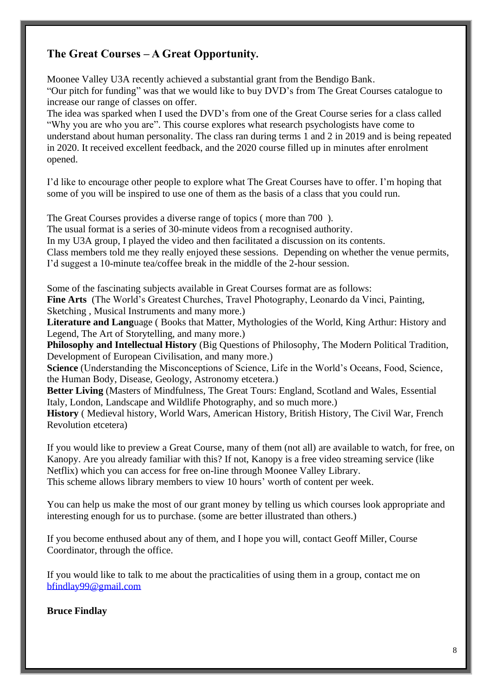# **The Great Courses – A Great Opportunity.**

Moonee Valley U3A recently achieved a substantial grant from the Bendigo Bank. "Our pitch for funding" was that we would like to buy DVD's from The Great Courses catalogue to increase our range of classes on offer.

The idea was sparked when I used the DVD's from one of the Great Course series for a class called "Why you are who you are". This course explores what research psychologists have come to understand about human personality. The class ran during terms 1 and 2 in 2019 and is being repeated in 2020. It received excellent feedback, and the 2020 course filled up in minutes after enrolment opened.

I'd like to encourage other people to explore what The Great Courses have to offer. I'm hoping that some of you will be inspired to use one of them as the basis of a class that you could run.

The Great Courses provides a diverse range of topics ( more than 700 ). The usual format is a series of 30-minute videos from a recognised authority. In my U3A group, I played the video and then facilitated a discussion on its contents. Class members told me they really enjoyed these sessions. Depending on whether the venue permits, I'd suggest a 10-minute tea/coffee break in the middle of the 2-hour session.

Some of the fascinating subjects available in Great Courses format are as follows:

**Fine Arts** (The World's Greatest Churches, Travel Photography, Leonardo da Vinci, Painting, Sketching , Musical Instruments and many more.)

**Literature and Lang**uage ( Books that Matter, Mythologies of the World, King Arthur: History and Legend, The Art of Storytelling, and many more.)

**Philosophy and Intellectual History** (Big Questions of Philosophy, The Modern Political Tradition, Development of European Civilisation, and many more.)

**Science** (Understanding the Misconceptions of Science, Life in the World's Oceans, Food, Science, the Human Body, Disease, Geology, Astronomy etcetera.)

**Better Living** (Masters of Mindfulness, The Great Tours: England, Scotland and Wales, Essential Italy, London, Landscape and Wildlife Photography, and so much more.)

**History** ( Medieval history, World Wars, American History, British History, The Civil War, French Revolution etcetera)

If you would like to preview a Great Course, many of them (not all) are available to watch, for free, on Kanopy. Are you already familiar with this? If not, Kanopy is a free video streaming service (like Netflix) which you can access for free on-line through Moonee Valley Library. This scheme allows library members to view 10 hours' worth of content per week.

You can help us make the most of our grant money by telling us which courses look appropriate and interesting enough for us to purchase. (some are better illustrated than others.)

If you become enthused about any of them, and I hope you will, contact Geoff Miller, Course Coordinator, through the office.

If you would like to talk to me about the practicalities of using them in a group, contact me on [bfindlay99@gmail.com](mailto:bfindlay99@gmail.com)

**Bruce Findlay**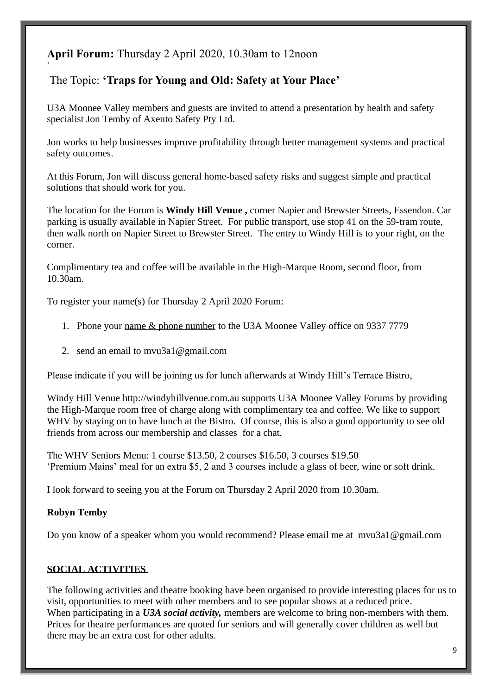# **April Forum:** Thursday 2 April 2020, 10.30am to 12noon

# The Topic: **'Traps for Young and Old: Safety at Your Place'**

U3A Moonee Valley members and guests are invited to attend a presentation by health and safety specialist Jon Temby of Axento Safety Pty Ltd.

Jon works to help businesses improve profitability through better management systems and practical safety outcomes.

At this Forum, Jon will discuss general home-based safety risks and suggest simple and practical solutions that should work for you.

The location for the Forum is **Windy Hill Venue ,** corner Napier and Brewster Streets, Essendon. Car parking is usually available in Napier Street. For public transport, use stop 41 on the 59-tram route, then walk north on Napier Street to Brewster Street. The entry to Windy Hill is to your right, on the corner.

Complimentary tea and coffee will be available in the High-Marque Room, second floor, from 10.30am.

To register your name(s) for Thursday 2 April 2020 Forum:

- 1. Phone your name & phone number to the U3A Moonee Valley office on 9337 7779
- 2. send an email to [mvu3a1@gmail.com](mailto:mvu3a1@gmail.com)

Please indicate if you will be joining us for lunch afterwards at Windy Hill's Terrace Bistro,

Windy Hill Venue [http://windyhillvenue.com.au](http://windyhillvenue.com.au/) supports U3A Moonee Valley Forums by providing the High-Marque room free of charge along with complimentary tea and coffee. We like to support WHV by staying on to have lunch at the Bistro. Of course, this is also a good opportunity to see old friends from across our membership and classes for a chat.

The WHV Seniors Menu: 1 course \$13.50, 2 courses \$16.50, 3 courses \$19.50 'Premium Mains' meal for an extra \$5, 2 and 3 courses include a glass of beer, wine or soft drink.

I look forward to seeing you at the Forum on Thursday 2 April 2020 from 10.30am.

#### **Robyn Temby**

`

Do you know of a speaker whom you would recommend? Please email me at [mvu3a1@gmail.com](mailto:mvu3a1@gmail.com)

#### **SOCIAL ACTIVITIES**

The following activities and theatre booking have been organised to provide interesting places for us to visit, opportunities to meet with other members and to see popular shows at a reduced price. When participating in a *U3A social activity,* members are welcome to bring non-members with them. Prices for theatre performances are quoted for seniors and will generally cover children as well but there may be an extra cost for other adults.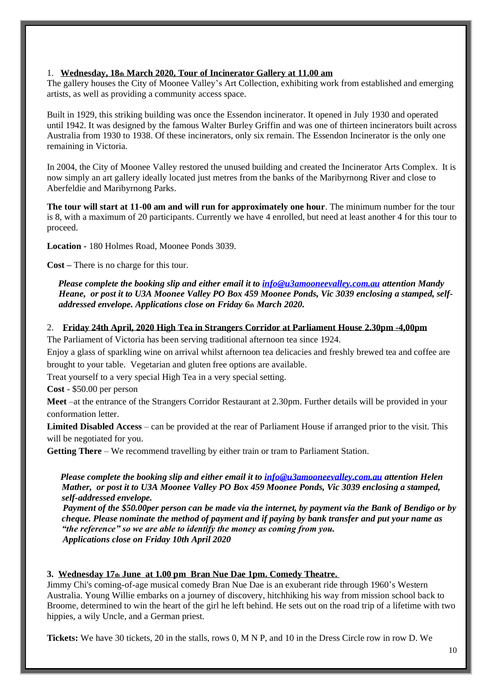#### 1. **Wednesday, 18th March 2020, Tour of Incinerator Gallery at 11.00 am**

The gallery houses the City of Moonee Valley's Art Collection, exhibiting work from established and emerging artists, as well as providing a community access space.

Built in 1929, this striking building was once the Essendon incinerator. It opened in July 1930 and operated until 1942. It was designed by the famous Walter Burley Griffin and was one of thirteen incinerators built across Australia from 1930 to 1938. Of these incinerators, only six remain. The Essendon Incinerator is the only one remaining in Victoria.

In 2004, the City of Moonee Valley restored the unused building and created the Incinerator Arts Complex. It is now simply an art gallery ideally located just metres from the banks of the Maribyrnong River and close to Aberfeldie and Maribyrnong Parks.

**The tour will start at 11-00 am and will run for approximately one hour**. The minimum number for the tour is 8, with a maximum of 20 participants. Currently we have 4 enrolled, but need at least another 4 for this tour to proceed.

**Location -** 180 Holmes Road, Moonee Ponds 3039.

**Cost –** There is no charge for this tour.

 *Please complete the booking slip and either email it to [info@u3amooneevalley.com.au](mailto:info@u3amooneevalley.com.au) attention Mandy Heane, or post it to U3A Moonee Valley PO Box 459 Moonee Ponds, Vic 3039 enclosing a stamped, selfaddressed envelope. Applications close on Friday 6th March 2020.*

2. **Friday 24th April, 2020 High Tea in Strangers Corridor at Parliament House 2.30pm -4,00pm**

The Parliament of Victoria has been serving traditional afternoon tea since 1924.

Enjoy a glass of sparkling wine on arrival whilst afternoon tea delicacies and freshly brewed tea and coffee are brought to your table. Vegetarian and gluten free options are available.

Treat yourself to a very special High Tea in a very special setting.

**Cost** - \$50.00 per person

**Meet** –at the entrance of the Strangers Corridor Restaurant at 2.30pm. Further details will be provided in your conformation letter.

**Limited Disabled Access** – can be provided at the rear of Parliament House if arranged prior to the visit. This will be negotiated for you.

**Getting There** – We recommend travelling by either train or tram to Parliament Station.

 *Please complete the booking slip and either email it to [info@u3amooneevalley.com.au](mailto:info@u3amooneevalley.com.au) attention Helen Mather, or post it to U3A Moonee Valley PO Box 459 Moonee Ponds, Vic 3039 enclosing a stamped, self-addressed envelope.*

 *Payment of the \$50.00per person can be made via the internet, by payment via the Bank of Bendigo or by cheque. Please nominate the method of payment and if paying by bank transfer and put your name as "the reference" so we are able to identify the money as coming from you. Applications close on Friday 10th April 2020*

#### **3. Wednesday 17th June at 1.00 pm Bran Nue Dae 1pm. Comedy Theatre.**

Jimmy Chi's coming-of-age musical comedy Bran Nue Dae is an exuberant ride through 1960's Western Australia. Young Willie embarks on a journey of discovery, hitchhiking his way from mission school back to Broome, determined to win the heart of the girl he left behind. He sets out on the road trip of a lifetime with two hippies, a wily Uncle, and a German priest.

**Tickets:** We have 30 tickets, 20 in the stalls, rows 0, M N P, and 10 in the Dress Circle row in row D. We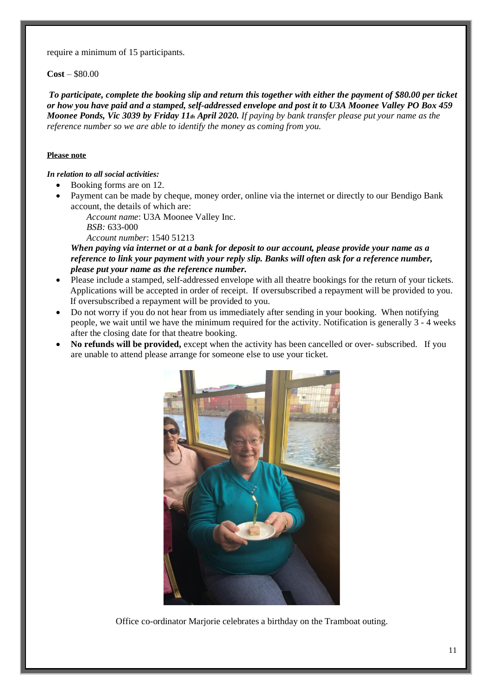require a minimum of 15 participants.

**Cost** – \$80.00

*To participate, complete the booking slip and return this together with either the payment of \$80.00 per ticket or how you have paid and a stamped, self-addressed envelope and post it to U3A Moonee Valley PO Box 459 Moonee Ponds, Vic 3039 by Friday 11th April 2020. If paying by bank transfer please put your name as the reference number so we are able to identify the money as coming from you.*

#### **Please note**

#### *In relation to all social activities:*

- Booking forms are on 12.
- Payment can be made by cheque, money order, online via the internet or directly to our Bendigo Bank account, the details of which are:
	- *Account name*: U3A Moonee Valley Inc. *BSB:* 633-000

*Account number*: 1540 51213

*When paying via internet or at a bank for deposit to our account, please provide your name as a reference to link your payment with your reply slip. Banks will often ask for a reference number, please put your name as the reference number.*

- Please include a stamped, self-addressed envelope with all theatre bookings for the return of your tickets. Applications will be accepted in order of receipt. If oversubscribed a repayment will be provided to you. If oversubscribed a repayment will be provided to you.
- Do not worry if you do not hear from us immediately after sending in your booking. When notifying people, we wait until we have the minimum required for the activity. Notification is generally 3 - 4 weeks after the closing date for that theatre booking.
- **No refunds will be provided,** except when the activity has been cancelled or over- subscribed. If you are unable to attend please arrange for someone else to use your ticket.



Office co-ordinator Marjorie celebrates a birthday on the Tramboat outing.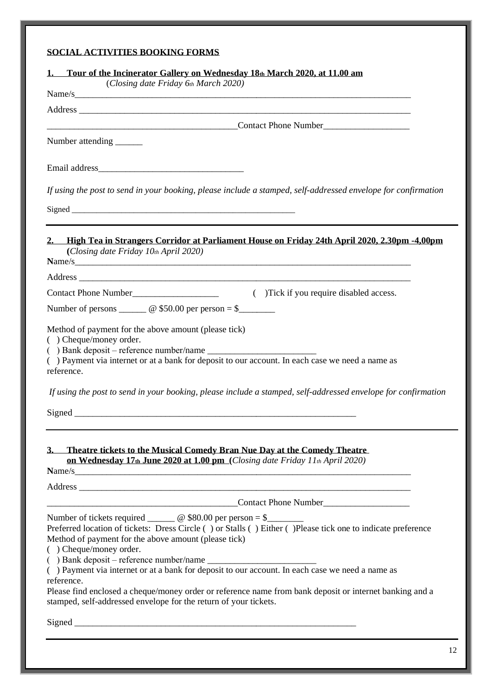#### **SOCIAL ACTIVITIES BOOKING FORMS**

| Name/s                                                                                                                                                                                                                                                                 |  |
|------------------------------------------------------------------------------------------------------------------------------------------------------------------------------------------------------------------------------------------------------------------------|--|
|                                                                                                                                                                                                                                                                        |  |
| Contact Phone Number Contact Phone Number                                                                                                                                                                                                                              |  |
| Number attending _______                                                                                                                                                                                                                                               |  |
|                                                                                                                                                                                                                                                                        |  |
| If using the post to send in your booking, please include a stamped, self-addressed envelope for confirmation                                                                                                                                                          |  |
|                                                                                                                                                                                                                                                                        |  |
| 2. High Tea in Strangers Corridor at Parliament House on Friday 24th April 2020, 2.30pm -4,00pm<br>(Closing date Friday $10th$ April 2020)<br>Name/s                                                                                                                   |  |
|                                                                                                                                                                                                                                                                        |  |
| Contact Phone Number<br>Contact Phone Number<br>Contact Phone Number<br>Contact Phone Number<br>Contact Phone Number<br>Contact Phone Number<br>Contact Phone Number<br>Contact Phone Number<br>Contact Phone Number<br>Contact Phone Number<br>Co                     |  |
| Number of persons $\_\_\_\_\_\_\_\$ <sub>©</sub> \$50.00 per person = \$                                                                                                                                                                                               |  |
| Method of payment for the above amount (please tick)<br>( ) Cheque/money order.<br>() Payment via internet or at a bank for deposit to our account. In each case we need a name as<br>reference.                                                                       |  |
| If using the post to send in your booking, please include a stamped, self-addressed envelope for confirmation                                                                                                                                                          |  |
| 3. Theatre tickets to the Musical Comedy Bran Nue Day at the Comedy Theatre<br>on Wednesday 17th June 2020 at 1.00 pm (Closing date Friday 11th April 2020)<br>Name/s                                                                                                  |  |
|                                                                                                                                                                                                                                                                        |  |
| <b>Contact Phone Number</b> <u>Contact Phone Number</u>                                                                                                                                                                                                                |  |
| Number of tickets required _______ @ \$80.00 per person = \$_______<br>Preferred location of tickets: Dress Circle () or Stalls () Either () Please tick one to indicate preference<br>Method of payment for the above amount (please tick)<br>( ) Cheque/money order. |  |
| reference.<br>Please find enclosed a cheque/money order or reference name from bank deposit or internet banking and a<br>stamped, self-addressed envelope for the return of your tickets.                                                                              |  |
|                                                                                                                                                                                                                                                                        |  |